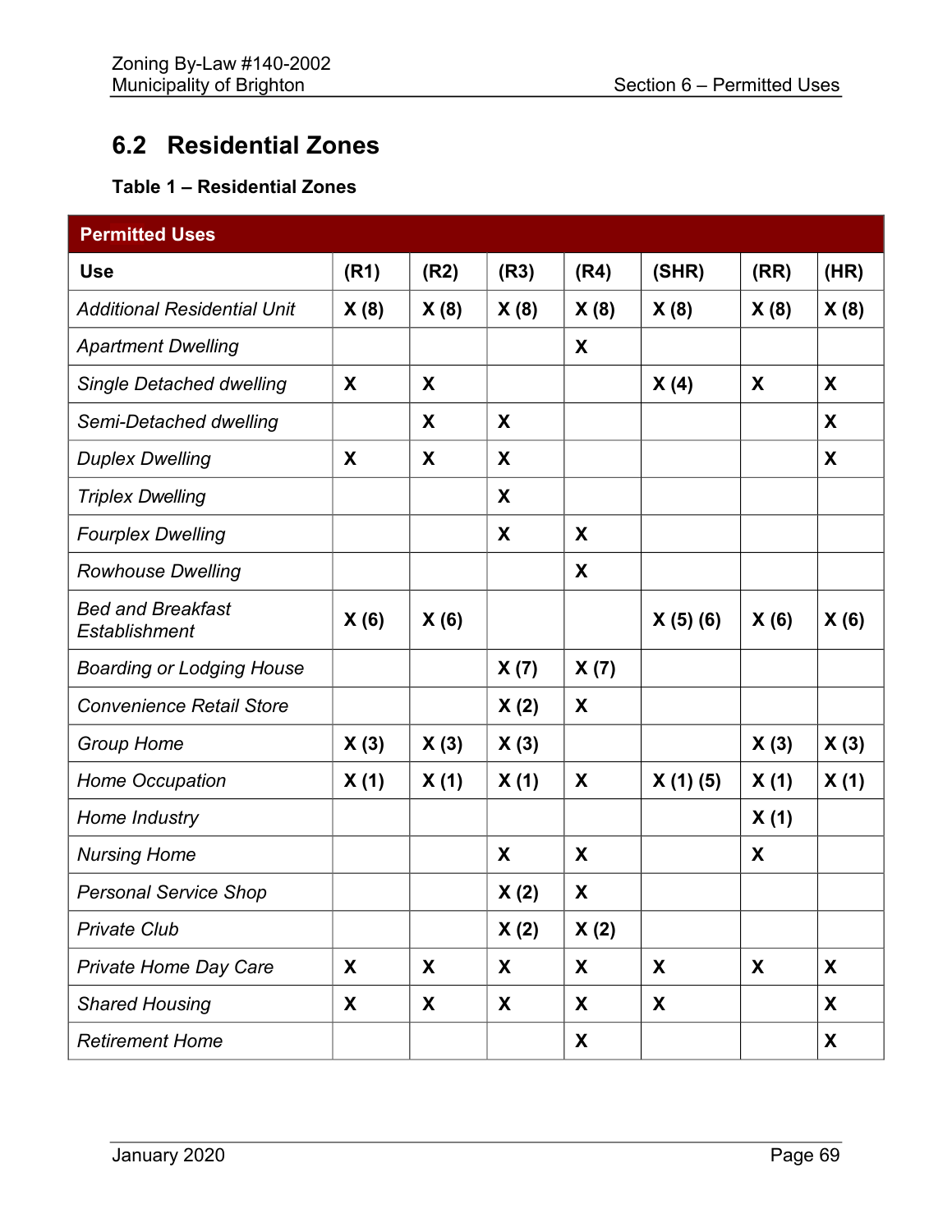## **6.2 Residential Zones**

## **Table 1 – Residential Zones**

| <b>Permitted Uses</b>                            |      |      |      |      |         |      |      |
|--------------------------------------------------|------|------|------|------|---------|------|------|
| <b>Use</b>                                       | (R1) | (R2) | (R3) | (R4) | (SHR)   | (RR) | (HR) |
| <b>Additional Residential Unit</b>               | X(8) | X(8) | X(8) | X(8) | X(8)    | X(8) | X(8) |
| <b>Apartment Dwelling</b>                        |      |      |      | X    |         |      |      |
| <b>Single Detached dwelling</b>                  | X    | X    |      |      | X(4)    | X    | X    |
| Semi-Detached dwelling                           |      | X    | X    |      |         |      | X    |
| <b>Duplex Dwelling</b>                           | X    | X    | X    |      |         |      | X    |
| <b>Triplex Dwelling</b>                          |      |      | X    |      |         |      |      |
| <b>Fourplex Dwelling</b>                         |      |      | X    | X    |         |      |      |
| <b>Rowhouse Dwelling</b>                         |      |      |      | X    |         |      |      |
| <b>Bed and Breakfast</b><br><b>Establishment</b> | X(6) | X(6) |      |      | X(5)(6) | X(6) | X(6) |
| <b>Boarding or Lodging House</b>                 |      |      | X(7) | X(7) |         |      |      |
| <b>Convenience Retail Store</b>                  |      |      | X(2) | X    |         |      |      |
| <b>Group Home</b>                                | X(3) | X(3) | X(3) |      |         | X(3) | X(3) |
| Home Occupation                                  | X(1) | X(1) | X(1) | X    | X(1)(5) | X(1) | X(1) |
| Home Industry                                    |      |      |      |      |         | X(1) |      |
| <b>Nursing Home</b>                              |      |      | X    | X    |         | X    |      |
| <b>Personal Service Shop</b>                     |      |      | X(2) | X    |         |      |      |
| <b>Private Club</b>                              |      |      | X(2) | X(2) |         |      |      |
| <b>Private Home Day Care</b>                     | X    | X    | X    | X    | X       | X    | X    |
| <b>Shared Housing</b>                            | X    | X    | X    | X    | X       |      | X    |
| <b>Retirement Home</b>                           |      |      |      | X    |         |      | X    |